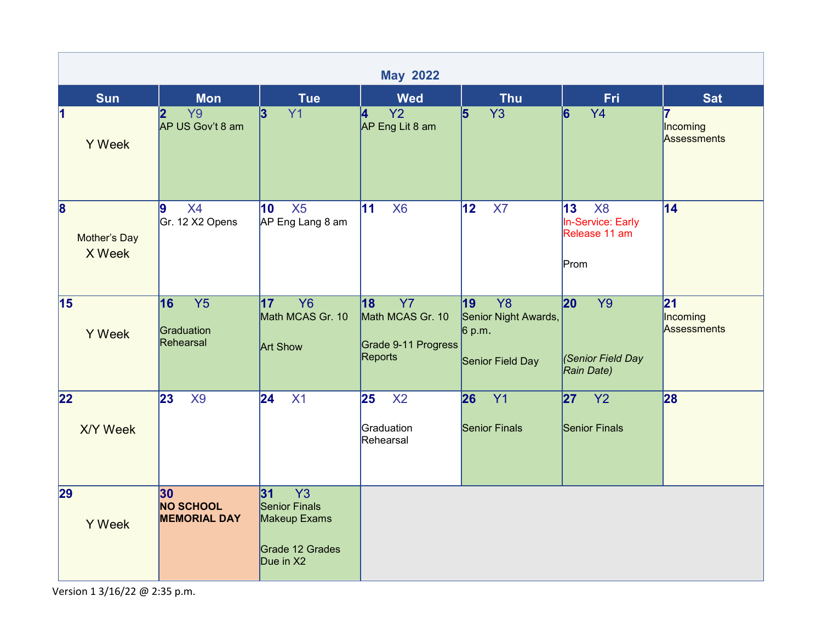| <b>May 2022</b>                                   |                                                            |                                                                                               |                                                                       |                                                                            |                                                                    |                                |  |  |  |  |
|---------------------------------------------------|------------------------------------------------------------|-----------------------------------------------------------------------------------------------|-----------------------------------------------------------------------|----------------------------------------------------------------------------|--------------------------------------------------------------------|--------------------------------|--|--|--|--|
| <b>Sun</b>                                        | <b>Mon</b>                                                 | <b>Tue</b>                                                                                    | <b>Wed</b>                                                            | <b>Thu</b>                                                                 | <b>Fri</b>                                                         | <b>Sat</b>                     |  |  |  |  |
| $\overline{\mathbf{1}}$<br><b>Y</b> Week          | 2 <br>Y <sub>9</sub><br>AP US Gov't 8 am                   | 3<br>Y1                                                                                       | 4<br><b>Y2</b><br>AP Eng Lit 8 am                                     | $\vert$ 5<br><b>Y3</b>                                                     | 6<br><b>Y4</b>                                                     | 17<br>Incoming<br>Assessments  |  |  |  |  |
| $\overline{\mathbf{8}}$<br>Mother's Day<br>X Week | <b>X4</b><br>9<br>Gr. 12 X2 Opens                          | X5<br>10<br>AP Eng Lang 8 am                                                                  | 11 <br>X <sub>6</sub>                                                 | 12 <br>X7                                                                  | X <sub>8</sub><br>13<br>In-Service: Early<br>Release 11 am<br>Prom | 14                             |  |  |  |  |
| 15<br><b>Y</b> Week                               | 16<br>Y <sub>5</sub><br>Graduation<br>Rehearsal            | <b>Y6</b><br>17<br>Math MCAS Gr. 10<br><b>Art Show</b>                                        | <b>Y7</b><br>18<br>Math MCAS Gr. 10<br>Grade 9-11 Progress<br>Reports | Y <sub>8</sub><br>19<br>Senior Night Awards,<br>6 p.m.<br>Senior Field Day | 20<br><b>Y9</b><br>Senior Field Day<br>Rain Date)                  | 21 <br>Incoming<br>Assessments |  |  |  |  |
| 22<br><b>X/Y Week</b>                             | $\overline{23}$<br><b>X9</b>                               | $\overline{24}$<br>X1                                                                         | 25<br>X <sub>2</sub><br>Graduation<br>Rehearsal                       | 26<br>Y1<br><b>Senior Finals</b>                                           | 27 <br>Y2<br><b>Senior Finals</b>                                  | 28                             |  |  |  |  |
| 29<br><b>Y</b> Week                               | 30 <sub>o</sub><br><b>NO SCHOOL</b><br><b>MEMORIAL DAY</b> | $\overline{Y3}$<br>31<br><b>Senior Finals</b><br>Makeup Exams<br>Grade 12 Grades<br>Due in X2 |                                                                       |                                                                            |                                                                    |                                |  |  |  |  |

Version 1 3/16/22 @ 2:35 p.m.